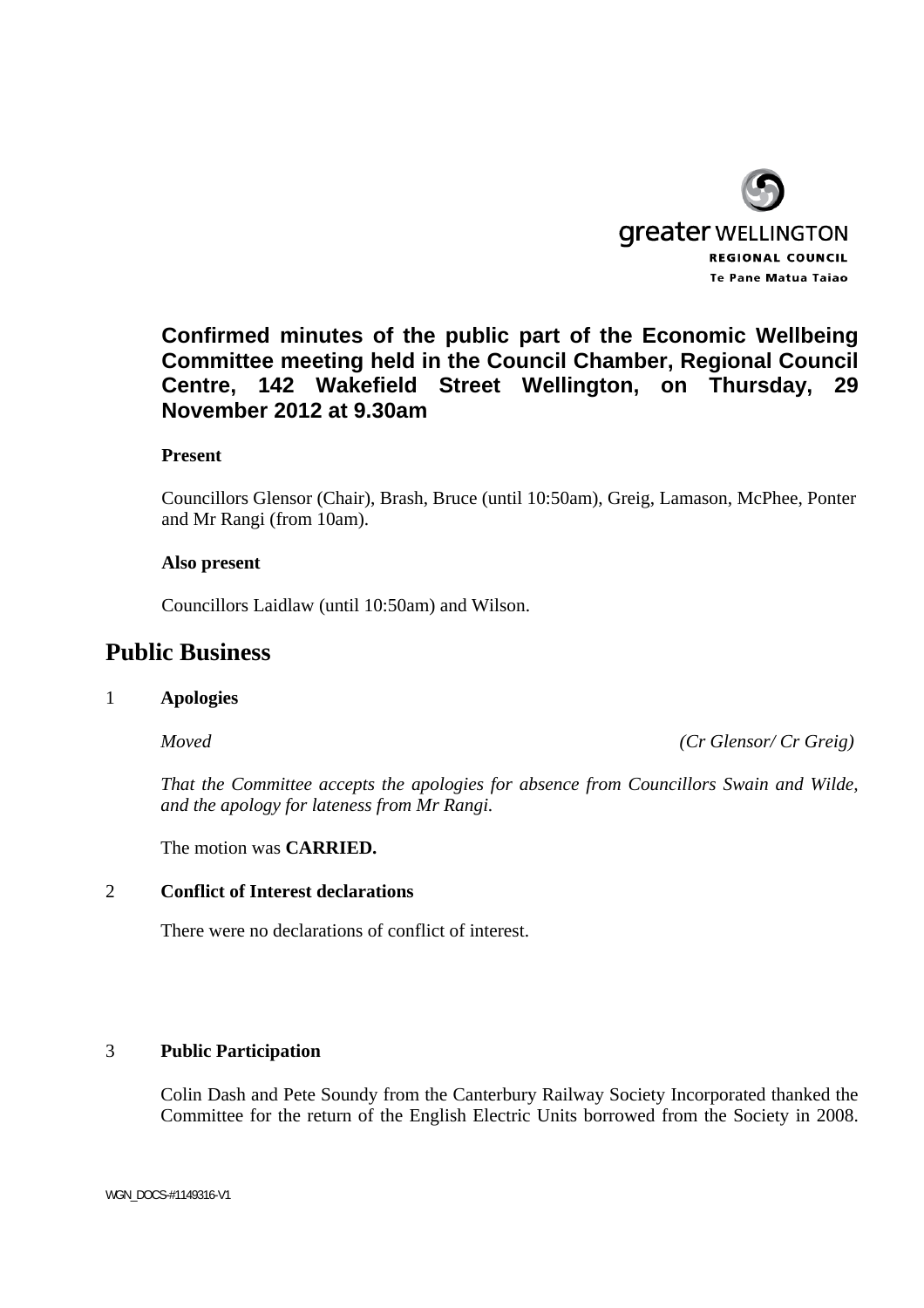

## **Confirmed minutes of the public part of the Economic Wellbeing Committee meeting held in the Council Chamber, Regional Council Centre, 142 Wakefield Street Wellington, on Thursday, 29 November 2012 at 9.30am**

## **Present**

Councillors Glensor (Chair), Brash, Bruce (until 10:50am), Greig, Lamason, McPhee, Ponter and Mr Rangi (from 10am).

#### **Also present**

Councillors Laidlaw (until 10:50am) and Wilson.

# **Public Business**

#### 1 **Apologies**

 *Moved (Cr Glensor/ Cr Greig)* 

*That the Committee accepts the apologies for absence from Councillors Swain and Wilde, and the apology for lateness from Mr Rangi.* 

The motion was **CARRIED.** 

## 2 **Conflict of Interest declarations**

There were no declarations of conflict of interest.

## 3 **Public Participation**

Colin Dash and Pete Soundy from the Canterbury Railway Society Incorporated thanked the Committee for the return of the English Electric Units borrowed from the Society in 2008.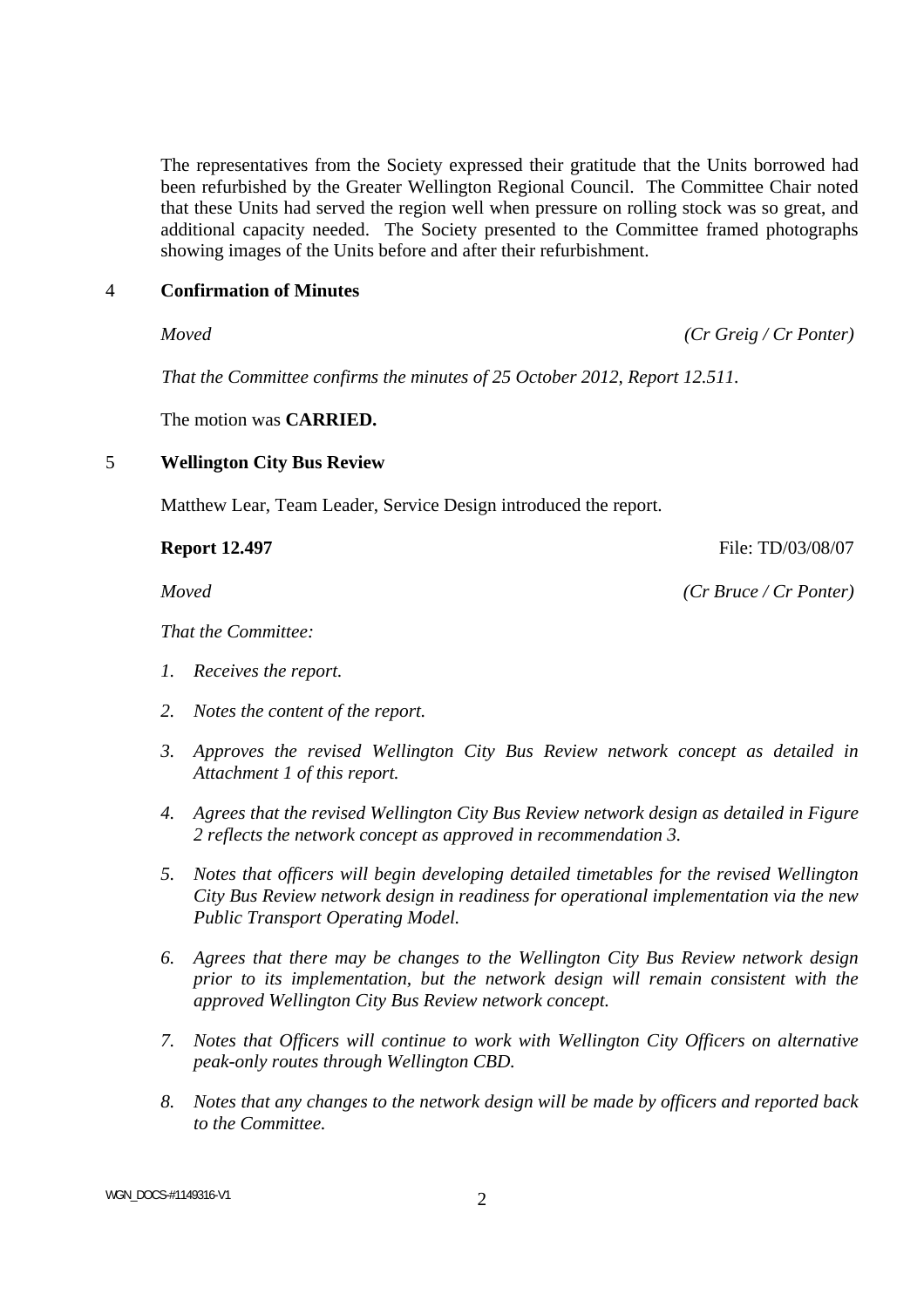The representatives from the Society expressed their gratitude that the Units borrowed had been refurbished by the Greater Wellington Regional Council. The Committee Chair noted that these Units had served the region well when pressure on rolling stock was so great, and additional capacity needed. The Society presented to the Committee framed photographs showing images of the Units before and after their refurbishment.

#### 4 **Confirmation of Minutes**

*Moved (Cr Greig / Cr Ponter)* 

 *That the Committee confirms the minutes of 25 October 2012, Report 12.511.* 

The motion was **CARRIED.** 

#### 5 **Wellington City Bus Review**

Matthew Lear, Team Leader, Service Design introduced the report.

*That the Committee:* 

- *1. Receives the report.*
- *2. Notes the content of the report.*
- *3. Approves the revised Wellington City Bus Review network concept as detailed in Attachment 1 of this report.*
- *4. Agrees that the revised Wellington City Bus Review network design as detailed in Figure 2 reflects the network concept as approved in recommendation 3.*
- *5. Notes that officers will begin developing detailed timetables for the revised Wellington City Bus Review network design in readiness for operational implementation via the new Public Transport Operating Model.*
- *6. Agrees that there may be changes to the Wellington City Bus Review network design prior to its implementation, but the network design will remain consistent with the approved Wellington City Bus Review network concept.*
- *7. Notes that Officers will continue to work with Wellington City Officers on alternative peak-only routes through Wellington CBD.*
- *8. Notes that any changes to the network design will be made by officers and reported back to the Committee.*

WGN\_DOCS-#1149316-V1 2

**Report 12.497 File: TD/03/08/07 File: TD/03/08/07** 

*Moved (Cr Bruce / Cr Ponter)*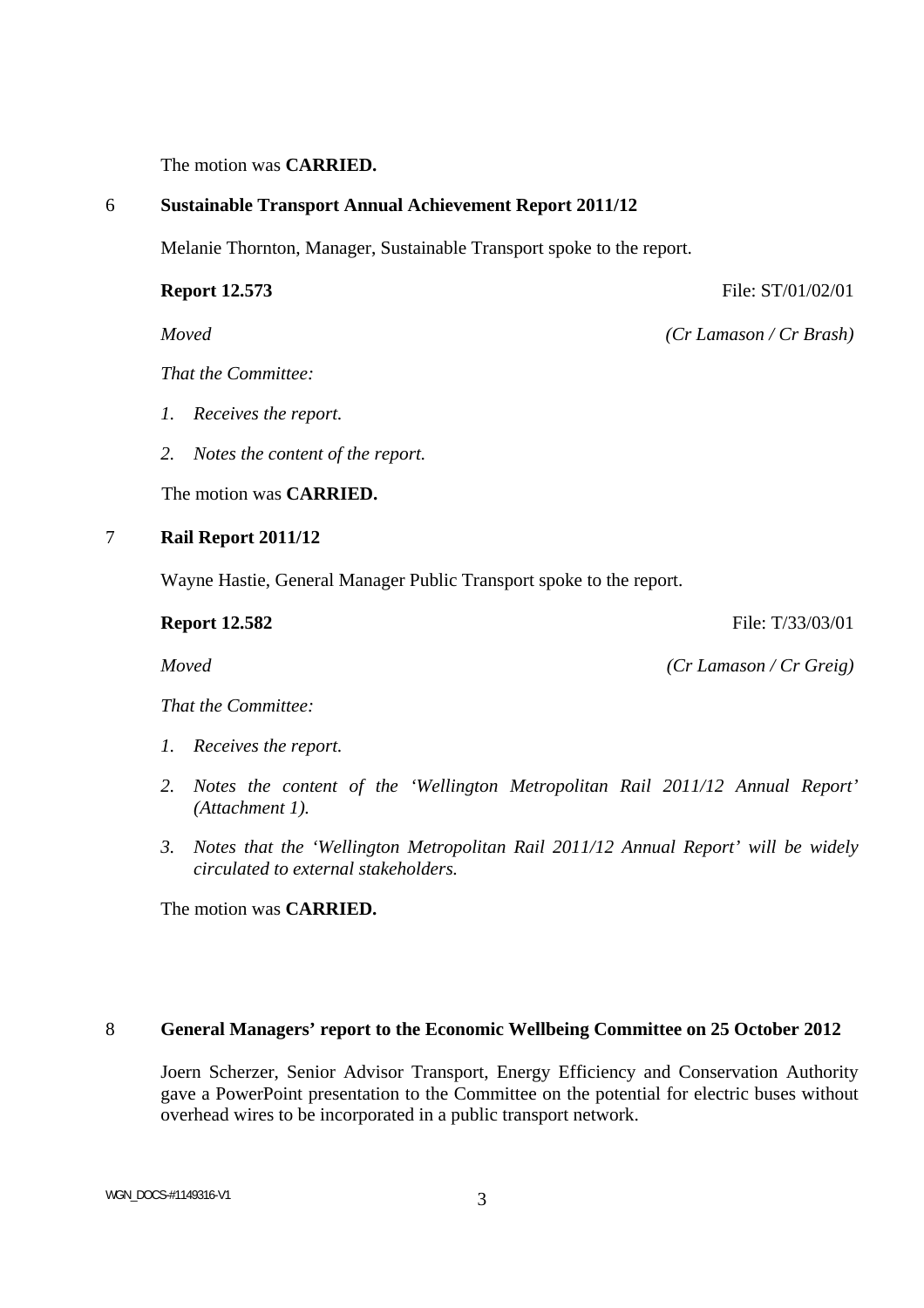The motion was **CARRIED.**

#### 6 **Sustainable Transport Annual Achievement Report 2011/12**

Melanie Thornton, Manager, Sustainable Transport spoke to the report.

**Report 12.573** File: ST/01/02/01

*Moved (Cr Lamason / Cr Brash)* 

*That the Committee:* 

- *1. Receives the report.*
- *2. Notes the content of the report.*

The motion was **CARRIED.**

## 7 **Rail Report 2011/12**

Wayne Hastie, General Manager Public Transport spoke to the report.

**Report 12.582 File:** T/33/03/01

*Moved (Cr Lamason / Cr Greig)* 

*That the Committee:* 

- *1. Receives the report.*
- *2. Notes the content of the 'Wellington Metropolitan Rail 2011/12 Annual Report' (Attachment 1).*
- *3. Notes that the 'Wellington Metropolitan Rail 2011/12 Annual Report' will be widely circulated to external stakeholders.*

The motion was **CARRIED.** 

## 8 **General Managers' report to the Economic Wellbeing Committee on 25 October 2012**

Joern Scherzer, Senior Advisor Transport, Energy Efficiency and Conservation Authority gave a PowerPoint presentation to the Committee on the potential for electric buses without overhead wires to be incorporated in a public transport network.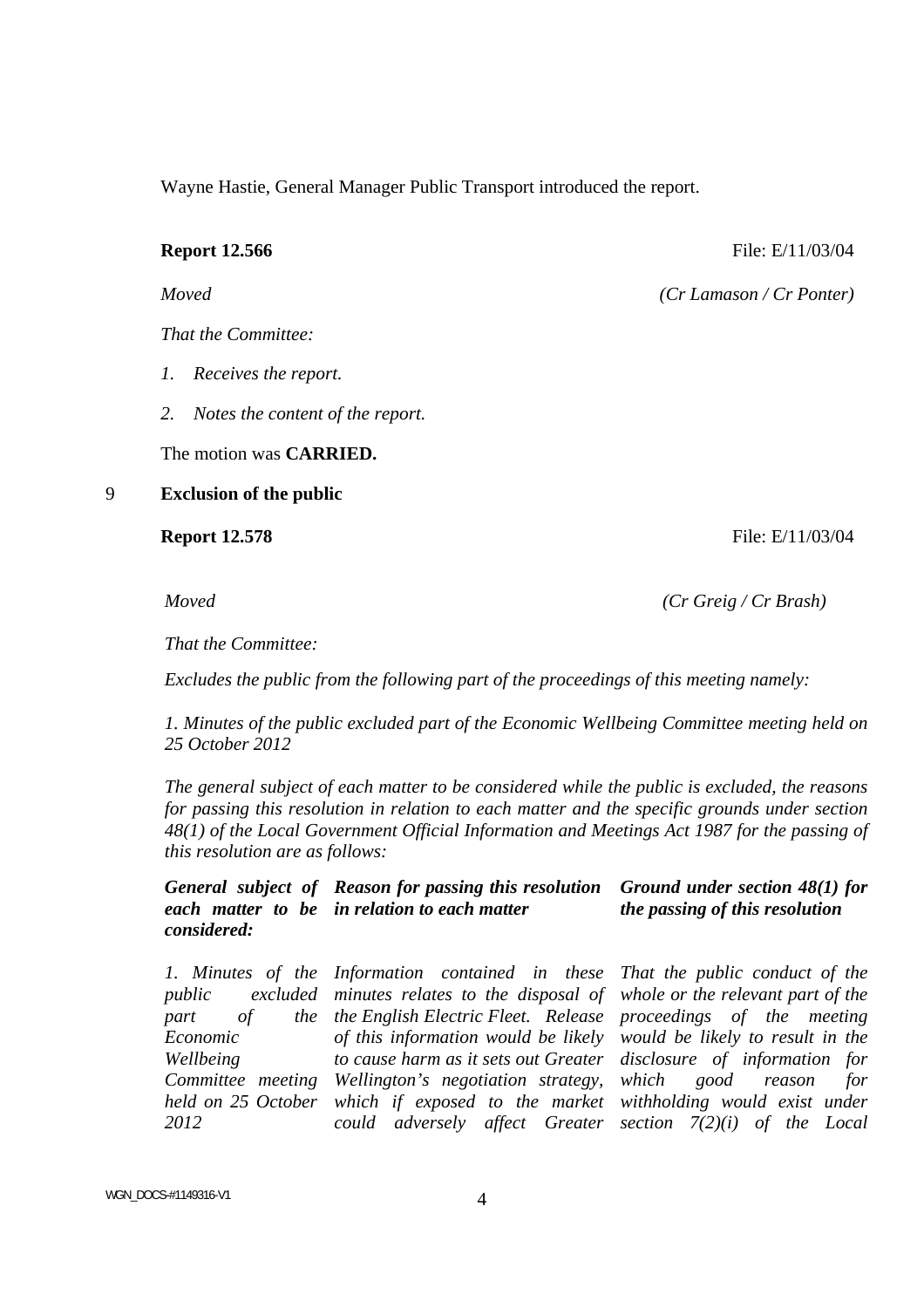Wayne Hastie, General Manager Public Transport introduced the report.

*That the Committee:* 

- *1. Receives the report.*
- *2. Notes the content of the report.*

The motion was **CARRIED.** 

9 **Exclusion of the public** 

*Moved (Cr Greig / Cr Brash)* 

*That the Committee:* 

 *Excludes the public from the following part of the proceedings of this meeting namely:* 

*1. Minutes of the public excluded part of the Economic Wellbeing Committee meeting held on 25 October 2012* 

*The general subject of each matter to be considered while the public is excluded, the reasons for passing this resolution in relation to each matter and the specific grounds under section 48(1) of the Local Government Official Information and Meetings Act 1987 for the passing of this resolution are as follows:* 

 *General subject of Reason for passing this resolution each matter to be in relation to each matter considered: Ground under section 48(1) for the passing of this resolution* 

 *1. Minutes of the Information contained in these public excluded minutes relates to the disposal of part of Economic Wellbeing Committee meeting Wellington's negotiation strategy, held on 25 October which if exposed to the market withholding would exist under 2012 the English Electric Fleet. Release proceedings of the meeting of this information would be likely would be likely to result in the to cause harm as it sets out Greater could adversely affect Greater section 7(2)(i) of the Local That the public conduct of the whole or the relevant part of the disclosure of information for which good reason for* 

**Report 12.566 File: E/11/03/04 File: E/11/03/04** 

*Moved (Cr Lamason / Cr Ponter)* 

# **Report 12.578 File: E/11/03/04 File: E/11/03/04**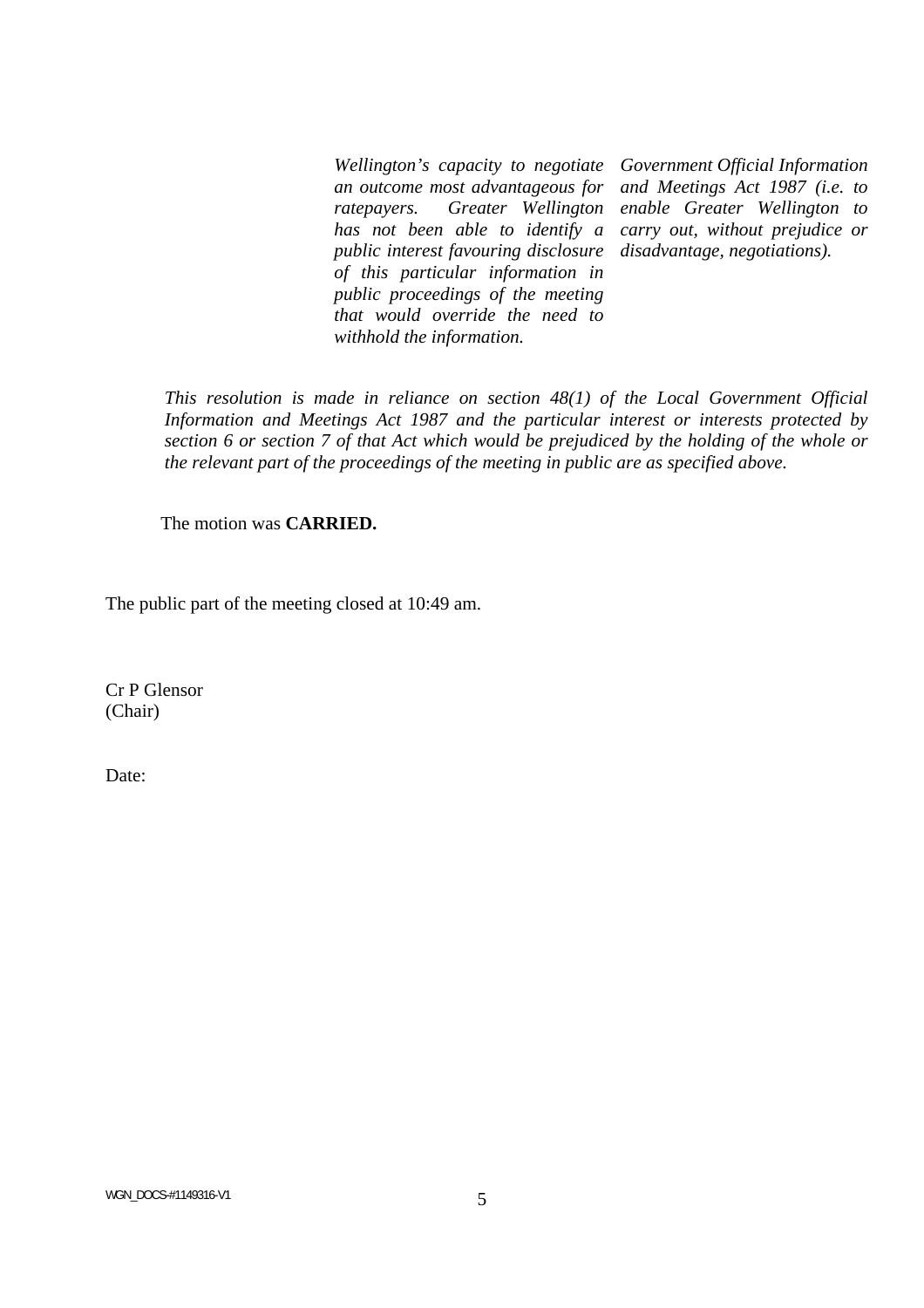*Wellington's capacity to negotiate an outcome most advantageous for ratepayers. Greater Wellington has not been able to identify a public interest favouring disclosure of this particular information in public proceedings of the meeting that would override the need to withhold the information.* 

*Government Official Information and Meetings Act 1987 (i.e. to enable Greater Wellington to carry out, without prejudice or disadvantage, negotiations).* 

 *This resolution is made in reliance on section 48(1) of the Local Government Official Information and Meetings Act 1987 and the particular interest or interests protected by section 6 or section 7 of that Act which would be prejudiced by the holding of the whole or the relevant part of the proceedings of the meeting in public are as specified above.* 

The motion was **CARRIED.** 

The public part of the meeting closed at 10:49 am.

Cr P Glensor (Chair)

Date: